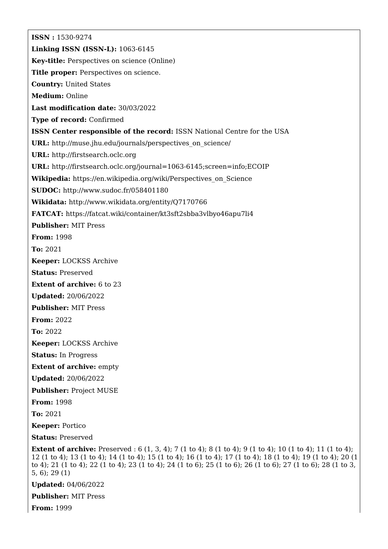**ISSN :** 1530-9274 **Linking ISSN (ISSN-L):** 1063-6145 **Key-title:** Perspectives on science (Online) **Title proper:** Perspectives on science. **Country:** United States **Medium:** Online **Last modification date:** 30/03/2022 **Type of record:** Confirmed **ISSN Center responsible of the record:** ISSN National Centre for the USA **URL:** [http://muse.jhu.edu/journals/perspectives\\_on\\_science/](http://muse.jhu.edu/journals/perspectives_on_science/) **URL:** <http://firstsearch.oclc.org> **URL:** <http://firstsearch.oclc.org/journal=1063-6145;screen=info;ECOIP> **Wikipedia:** [https://en.wikipedia.org/wiki/Perspectives\\_on\\_Science](https://en.wikipedia.org/wiki/Perspectives_on_Science) **SUDOC:** <http://www.sudoc.fr/058401180> **Wikidata:** <http://www.wikidata.org/entity/Q7170766> **FATCAT:** <https://fatcat.wiki/container/kt3sft2sbba3vlbyo46apu7li4> **Publisher:** MIT Press **From:** 1998 **To:** 2021 **Keeper:** LOCKSS Archive **Status:** Preserved **Extent of archive:** 6 to 23 **Updated:** 20/06/2022 **Publisher:** MIT Press **From:** 2022 **To:** 2022 **Keeper:** LOCKSS Archive **Status:** In Progress **Extent of archive:** empty **Updated:** 20/06/2022 **Publisher:** Project MUSE **From:** 1998 **To:** 2021 **Keeper:** Portico **Status:** Preserved **Extent of archive:** Preserved : 6 (1, 3, 4); 7 (1 to 4); 8 (1 to 4); 9 (1 to 4); 10 (1 to 4); 11 (1 to 4); 12 (1 to 4); 13 (1 to 4); 14 (1 to 4); 15 (1 to 4); 16 (1 to 4); 17 (1 to 4); 18 (1 to 4); 19 (1 to 4); 20 (1 to 4); 21 (1 to 4); 22 (1 to 4); 23 (1 to 4); 24 (1 to 6); 25 (1 to 6); 26 (1 to 6); 27 (1 to 6); 28 (1 to 3, 5, 6); 29 (1) **Updated:** 04/06/2022 **Publisher:** MIT Press

**From:** 1999